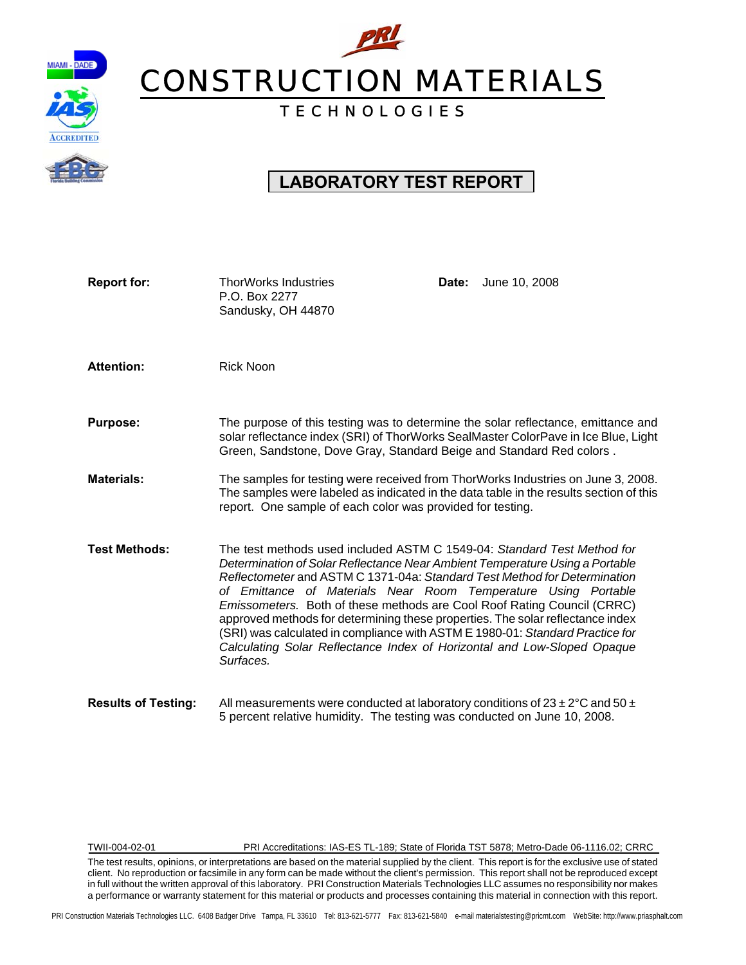

# PRI CONSTRUCTION MATERIALS

## T E C H N O L O G I E S

## **LABORATORY TEST REPORT**

| <b>Report for:</b>         | <b>ThorWorks Industries</b><br>P.O. Box 2277<br>Sandusky, OH 44870                                                                                                                                                                                                                                                                                                                                                                                                                                                                                                                                                                           | June 10, 2008<br>Date:                                                                                                                                                     |
|----------------------------|----------------------------------------------------------------------------------------------------------------------------------------------------------------------------------------------------------------------------------------------------------------------------------------------------------------------------------------------------------------------------------------------------------------------------------------------------------------------------------------------------------------------------------------------------------------------------------------------------------------------------------------------|----------------------------------------------------------------------------------------------------------------------------------------------------------------------------|
| <b>Attention:</b>          | <b>Rick Noon</b>                                                                                                                                                                                                                                                                                                                                                                                                                                                                                                                                                                                                                             |                                                                                                                                                                            |
| <b>Purpose:</b>            | Green, Sandstone, Dove Gray, Standard Beige and Standard Red colors.                                                                                                                                                                                                                                                                                                                                                                                                                                                                                                                                                                         | The purpose of this testing was to determine the solar reflectance, emittance and<br>solar reflectance index (SRI) of ThorWorks SealMaster ColorPave in Ice Blue, Light    |
| <b>Materials:</b>          | report. One sample of each color was provided for testing.                                                                                                                                                                                                                                                                                                                                                                                                                                                                                                                                                                                   | The samples for testing were received from ThorWorks Industries on June 3, 2008.<br>The samples were labeled as indicated in the data table in the results section of this |
| <b>Test Methods:</b>       | The test methods used included ASTM C 1549-04: Standard Test Method for<br>Determination of Solar Reflectance Near Ambient Temperature Using a Portable<br>Reflectometer and ASTM C 1371-04a: Standard Test Method for Determination<br>of Emittance of Materials Near Room Temperature Using Portable<br>Emissometers. Both of these methods are Cool Roof Rating Council (CRRC)<br>approved methods for determining these properties. The solar reflectance index<br>(SRI) was calculated in compliance with ASTM E 1980-01: Standard Practice for<br>Calculating Solar Reflectance Index of Horizontal and Low-Sloped Opaque<br>Surfaces. |                                                                                                                                                                            |
| <b>Results of Testing:</b> | All measurements were conducted at laboratory conditions of $23 \pm 2^{\circ}$ C and 50 $\pm$<br>5 percent relative humidity. The testing was conducted on June 10, 2008.                                                                                                                                                                                                                                                                                                                                                                                                                                                                    |                                                                                                                                                                            |

TWII-004-02-01 PRI Accreditations: IAS-ES TL-189; State of Florida TST 5878; Metro-Dade 06-1116.02; CRRC

The test results, opinions, or interpretations are based on the material supplied by the client. This report is for the exclusive use of stated client. No reproduction or facsimile in any form can be made without the client's permission. This report shall not be reproduced except in full without the written approval of this laboratory. PRI Construction Materials Technologies LLC assumes no responsibility nor makes a performance or warranty statement for this material or products and processes containing this material in connection with this report.